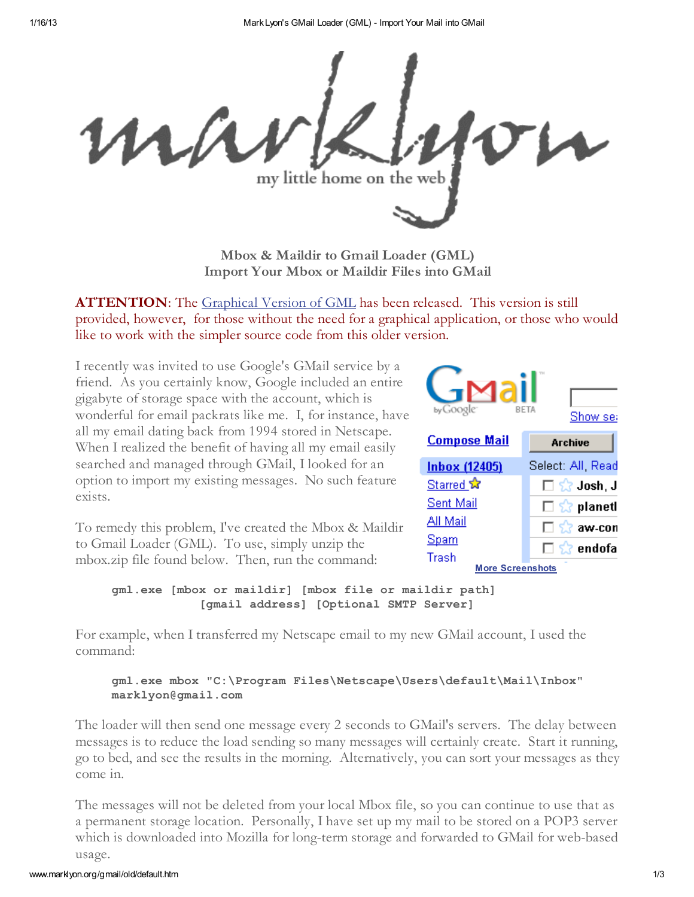

Mbox & Maildir to Gmail Loader (GML) Import Your Mbox or Maildir Files into GMail

**ATTENTION:** The *[Graphical](http://www.marklyon.org/gmail) Version of GML* has been released. This version is still provided, however, for those without the need for a graphical application, or those who would like to work with the simpler source code from this older version.

I recently was invited to use Google's GMail service by a friend. As you certainly know, Google included an entire gigabyte of storage space with the account, which is wonderful for email packrats like me. I, for instance, have all my email dating back from 1994 stored in Netscape. When I realized the benefit of having all my email easily searched and managed through GMail, I looked for an option to import my existing messages. No such feature exists.

To remedy this problem, I've created the Mbox & Maildir to Gmail Loader (GML). To use, simply unzip the mbox.zip file found below. Then, run the command:



gml.exe [mbox or maildir] [mbox file or maildir path] [gmail address] [Optional SMTP Server]

For example, when I transferred my Netscape email to my new GMail account, I used the command:

## gml.exe mbox "C:\Program Files\Netscape\Users\default\Mail\Inbox" marklyon@gmail.com

The loader will then send one message every 2 seconds to GMail's servers. The delay between messages is to reduce the load sending so many messages will certainly create. Start it running, go to bed, and see the results in the morning. Alternatively, you can sort your messages as they come in.

The messages will not be deleted from your local Mbox file, so you can continue to use that as a permanent storage location. Personally, I have set up my mail to be stored on a POP3 server which is downloaded into Mozilla for long-term storage and forwarded to GMail for web-based usage.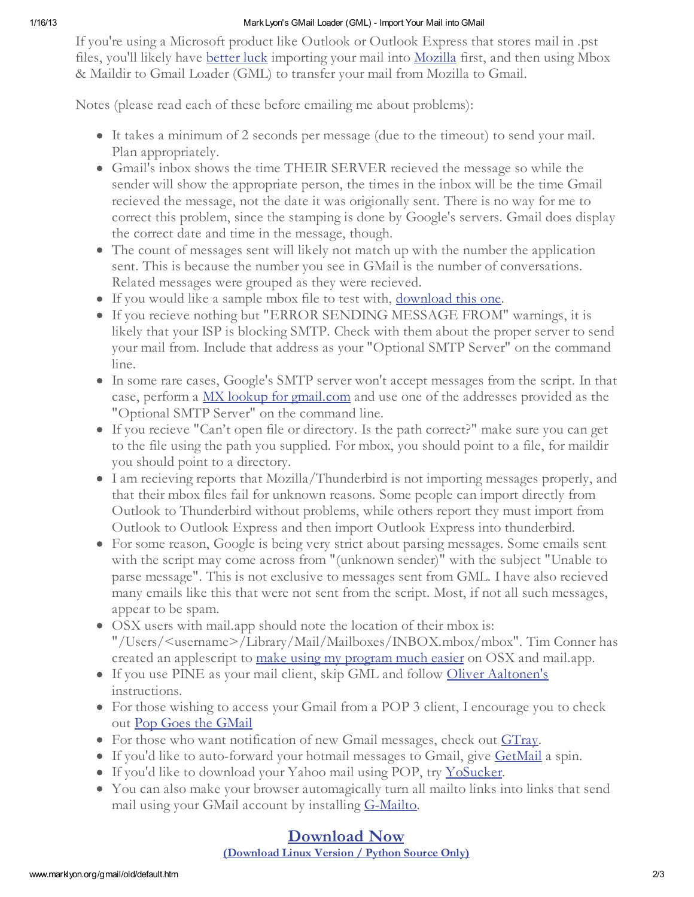#### 1/16/13 MarkLyon's GMail Loader (GML) - Import Your Mail into GMail

If you're using a Microsoft product like Outlook or Outlook Express that stores mail in .pst files, you'll likely have [better](http://support.ximian.com/cgi-bin/ximian.cfg/php/enduser/std_adp.php?p_sid=wxzQPLgg&p_lva=&p_faqid=59&p_created=995655179&p_sp=cF9ncmlkc29ydD0mcF9yb3dfY250PTEmcF9zZWFyY2hfdGV4dD1wc3QmcF9zZWFyY2hfdHlwZT0zJnBfcHJvZF9sdmwxPTImcF9jYXRfbHZsMT1_YW55fiZwX3NvcnRfYnk9ZGZsdCZwX3BhZ2U9MQ**&p_li=) luck importing your mail into [Mozilla](http://mozilla.org/) first, and then using Mbox & Maildir to Gmail Loader (GML) to transfer your mail from Mozilla to Gmail.

Notes (please read each of these before emailing me about problems):

- It takes a minimum of 2 seconds per message (due to the timeout) to send your mail. Plan appropriately.
- Gmail's inbox shows the time THEIR SERVER recieved the message so while the sender will show the appropriate person, the times in the inbox will be the time Gmail recieved the message, not the date it was origionally sent. There is no way for me to correct this problem, since the stamping is done by Google's servers. Gmail does display the correct date and time in the message, though.
- The count of messages sent will likely not match up with the number the application sent. This is because the number you see in GMail is the number of conversations. Related messages were grouped as they were recieved.
- If you would like a sample mbox file to test with, [download](http://www.marklyon.org/gmail/old/samples.mbx) this one.
- If you recieve nothing but "ERROR SENDING MESSAGE FROM" warnings, it is likely that your ISP is blocking SMTP. Check with them about the proper server to send your mail from. Include that address as your "Optional SMTP Server" on the command line.
- In some rare cases, Google's SMTP server won't accept messages from the script. In that case, perform a MX lookup for [gmail.com](http://www.mob.net/~ted/tools/mx.php3?domain=gmail.com) and use one of the addresses provided as the "Optional SMTP Server" on the command line.
- If you recieve "Can't open file or directory. Is the path correct?" make sure you can get to the file using the path you supplied. For mbox, you should point to a file, for maildir you should point to a directory.
- I am recieving reports that Mozilla/Thunderbird is not importing messages properly, and that their mbox files fail for unknown reasons. Some people can import directly from Outlook to Thunderbird without problems, while others report they must import from Outlook to Outlook Express and then import Outlook Express into thunderbird.
- For some reason, Google is being very strict about parsing messages. Some emails sent with the script may come across from "(unknown sender)" with the subject "Unable to parse message". This is not exclusive to messages sent from GML. I have also recieved many emails like this that were not sent from the script. Most, if not all such messages, appear to be spam.
- OSX users with mail.app should note the location of their mbox is: "/Users/<username>/Library/Mail/Mailboxes/INBOX.mbox/mbox". Tim Conner has created an applescript to make using my [program](http://www.saltedwound.com/archives/002419.php) much easier on OSX and mail.app.
- If you use PINE as your mail client, skip GML and follow Oliver [Aaltonen's](http://www.aaltonen.us/archives/2004/04/tip_batchforward_email.html) instructions.
- For those wishing to access your Gmail from a POP 3 client, I encourage you to check out Pop Goes the [GMail](http://www.neowin.net/forum/index.php?showtopic=169789)
- For those who want notification of new Gmail messages, check out [GTray](http://torrez.us/archives/2004/05/23/000272.html).
- If you'd like to auto-forward your hotmail messages to Gmail, give [GetMail](http://www.e-eeasy.com/GetMail.aspx) a spin.
- If you'd like to download your Yahoo mail using POP, try [YoSucker](http://yosucker.sourceforge.net/).
- You can also make your browser automagically turn all mailto links into links that send mail using your GMail account by installing [G-Mailto](http://www.rabidsquirrel.net/G-Mailto/).

# [Download](http://www.marklyon.org/gmail/old/gml.zip) Now

### [\(Download](http://www.marklyon.org/gmail/old/gml.tar) Linux Version / Python Source Only)